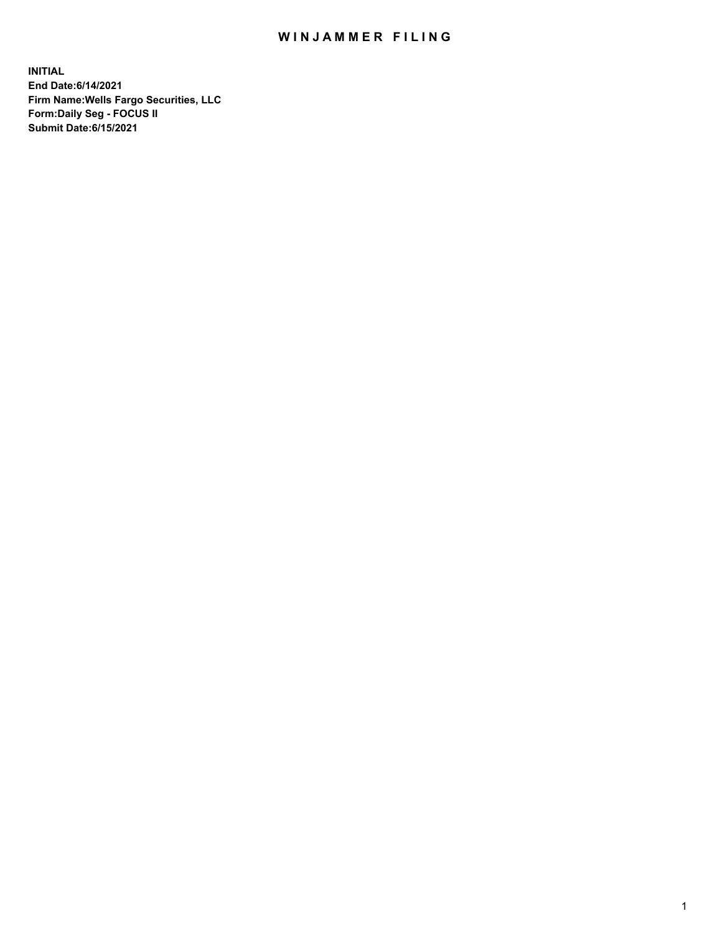## WIN JAMMER FILING

**INITIAL End Date:6/14/2021 Firm Name:Wells Fargo Securities, LLC Form:Daily Seg - FOCUS II Submit Date:6/15/2021**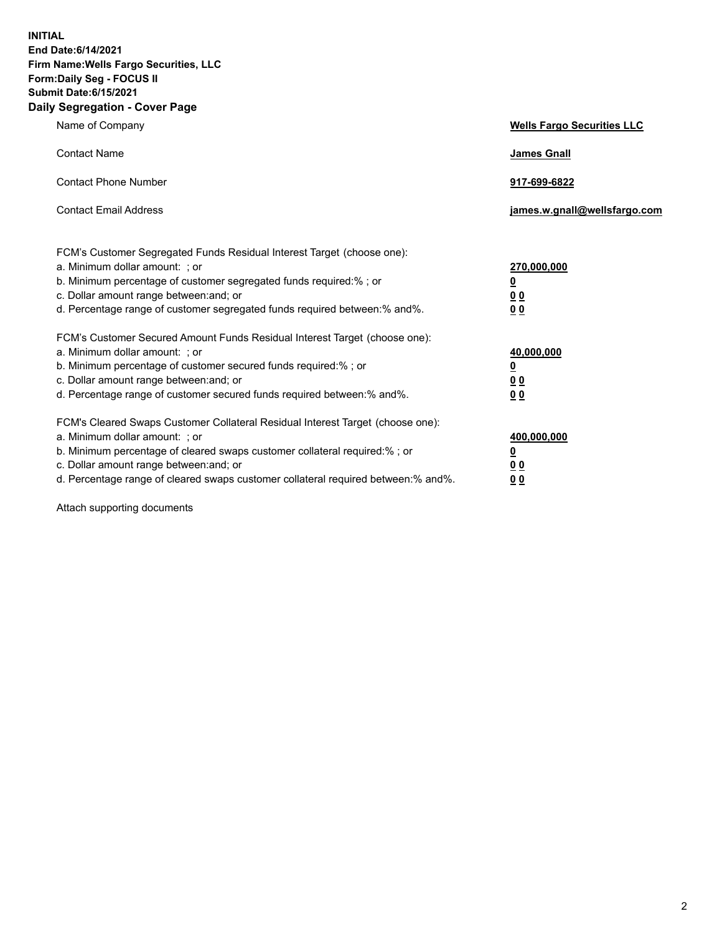**INITIAL End Date:6/14/2021 Firm Name:Wells Fargo Securities, LLC Form:Daily Seg - FOCUS II Submit Date:6/15/2021 Daily Segregation - Cover Page**

| Name of Company                                                                                                                                                                                                                                                                                                                | <b>Wells Fargo Securities LLC</b>                                           |
|--------------------------------------------------------------------------------------------------------------------------------------------------------------------------------------------------------------------------------------------------------------------------------------------------------------------------------|-----------------------------------------------------------------------------|
| <b>Contact Name</b>                                                                                                                                                                                                                                                                                                            | <b>James Gnall</b>                                                          |
| <b>Contact Phone Number</b>                                                                                                                                                                                                                                                                                                    | 917-699-6822                                                                |
| <b>Contact Email Address</b>                                                                                                                                                                                                                                                                                                   | james.w.gnall@wellsfargo.com                                                |
| FCM's Customer Segregated Funds Residual Interest Target (choose one):<br>a. Minimum dollar amount: ; or<br>b. Minimum percentage of customer segregated funds required:% ; or<br>c. Dollar amount range between: and; or<br>d. Percentage range of customer segregated funds required between: % and %.                       | 270,000,000<br>$\underline{\mathbf{0}}$<br>0 <sub>0</sub><br>0 <sub>0</sub> |
| FCM's Customer Secured Amount Funds Residual Interest Target (choose one):<br>a. Minimum dollar amount: ; or<br>b. Minimum percentage of customer secured funds required:%; or<br>c. Dollar amount range between: and; or<br>d. Percentage range of customer secured funds required between: % and %.                          | 40,000,000<br>$\overline{\mathbf{0}}$<br>00<br>0 <sub>0</sub>               |
| FCM's Cleared Swaps Customer Collateral Residual Interest Target (choose one):<br>a. Minimum dollar amount: ; or<br>b. Minimum percentage of cleared swaps customer collateral required:% ; or<br>c. Dollar amount range between: and; or<br>d. Percentage range of cleared swaps customer collateral required between:% and%. | 400,000,000<br><u>0</u><br>00<br>00                                         |

Attach supporting documents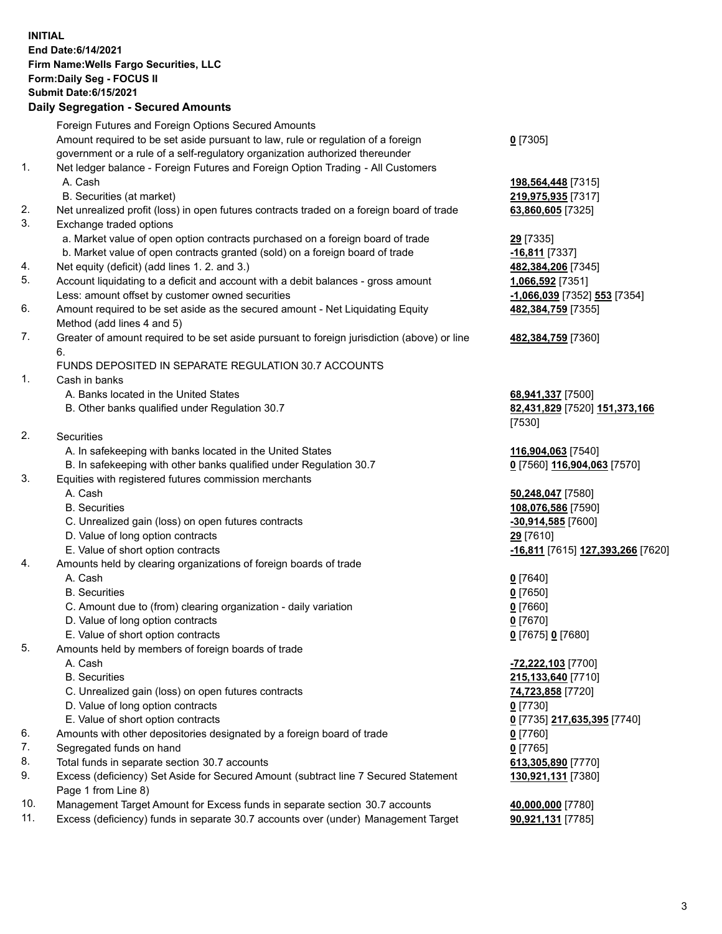**INITIAL End Date:6/14/2021 Firm Name:Wells Fargo Securities, LLC Form:Daily Seg - FOCUS II Submit Date:6/15/2021**

## **Daily Segregation - Secured Amounts**

|    | Foreign Futures and Foreign Options Secured Amounts                                         |                                   |
|----|---------------------------------------------------------------------------------------------|-----------------------------------|
|    | Amount required to be set aside pursuant to law, rule or regulation of a foreign            | $0$ [7305]                        |
|    | government or a rule of a self-regulatory organization authorized thereunder                |                                   |
| 1. | Net ledger balance - Foreign Futures and Foreign Option Trading - All Customers             |                                   |
|    | A. Cash                                                                                     | 198,564,448 [7315]                |
|    | B. Securities (at market)                                                                   | 219,975,935 [7317]                |
| 2. | Net unrealized profit (loss) in open futures contracts traded on a foreign board of trade   | 63,860,605 [7325]                 |
| 3. | Exchange traded options                                                                     |                                   |
|    | a. Market value of open option contracts purchased on a foreign board of trade              | 29 [7335]                         |
|    | b. Market value of open contracts granted (sold) on a foreign board of trade                | $-16,811$ [7337]                  |
| 4. | Net equity (deficit) (add lines 1. 2. and 3.)                                               | 482,384,206 [7345]                |
| 5. | Account liquidating to a deficit and account with a debit balances - gross amount           | 1,066,592 [7351]                  |
|    | Less: amount offset by customer owned securities                                            | -1,066,039 [7352] 553 [7354]      |
| 6. | Amount required to be set aside as the secured amount - Net Liquidating Equity              | 482,384,759 [7355]                |
|    | Method (add lines 4 and 5)                                                                  |                                   |
| 7. | Greater of amount required to be set aside pursuant to foreign jurisdiction (above) or line | 482,384,759 [7360]                |
|    | 6.                                                                                          |                                   |
|    | FUNDS DEPOSITED IN SEPARATE REGULATION 30.7 ACCOUNTS                                        |                                   |
| 1. | Cash in banks                                                                               |                                   |
|    | A. Banks located in the United States                                                       | 68,941,337 [7500]                 |
|    | B. Other banks qualified under Regulation 30.7                                              | 82,431,829 [7520] 151,373,166     |
|    |                                                                                             | [7530]                            |
| 2. | <b>Securities</b>                                                                           |                                   |
|    | A. In safekeeping with banks located in the United States                                   | 116,904,063 [7540]                |
|    | B. In safekeeping with other banks qualified under Regulation 30.7                          | 0 [7560] 116,904,063 [7570]       |
| 3. | Equities with registered futures commission merchants                                       |                                   |
|    | A. Cash                                                                                     | 50,248,047 [7580]                 |
|    | <b>B.</b> Securities                                                                        | 108,076,586 [7590]                |
|    | C. Unrealized gain (loss) on open futures contracts                                         | -30,914,585 [7600]                |
|    | D. Value of long option contracts                                                           | 29 [7610]                         |
|    | E. Value of short option contracts                                                          | -16,811 [7615] 127,393,266 [7620] |
| 4. | Amounts held by clearing organizations of foreign boards of trade                           |                                   |
|    | A. Cash                                                                                     | $0$ [7640]                        |
|    | <b>B.</b> Securities                                                                        | $0$ [7650]                        |
|    | C. Amount due to (from) clearing organization - daily variation                             | $0$ [7660]                        |
|    | D. Value of long option contracts                                                           | $0$ [7670]                        |
|    | E. Value of short option contracts                                                          | 0 [7675] 0 [7680]                 |
| 5. | Amounts held by members of foreign boards of trade                                          |                                   |
|    | A. Cash                                                                                     | -72,222,103 [7700]                |
|    | <b>B.</b> Securities                                                                        | 215,133,640 [7710]                |
|    | C. Unrealized gain (loss) on open futures contracts                                         | 74,723,858 [7720]                 |
|    | D. Value of long option contracts                                                           | $0$ [7730]                        |
|    | E. Value of short option contracts                                                          | 0 [7735] 217,635,395 [7740]       |
| 6. | Amounts with other depositories designated by a foreign board of trade                      | $0$ [7760]                        |
| 7. | Segregated funds on hand                                                                    | $0$ [7765]                        |
| 8. | Total funds in separate section 30.7 accounts                                               | 613,305,890 [7770]                |
| 9. | Excess (deficiency) Set Aside for Secured Amount (subtract line 7 Secured Statement         | 130,921,131 [7380]                |
|    | Page 1 from Line 8)                                                                         |                                   |

- 10. Management Target Amount for Excess funds in separate section 30.7 accounts **40,000,000** [7780]
- 11. Excess (deficiency) funds in separate 30.7 accounts over (under) Management Target **90,921,131** [7785]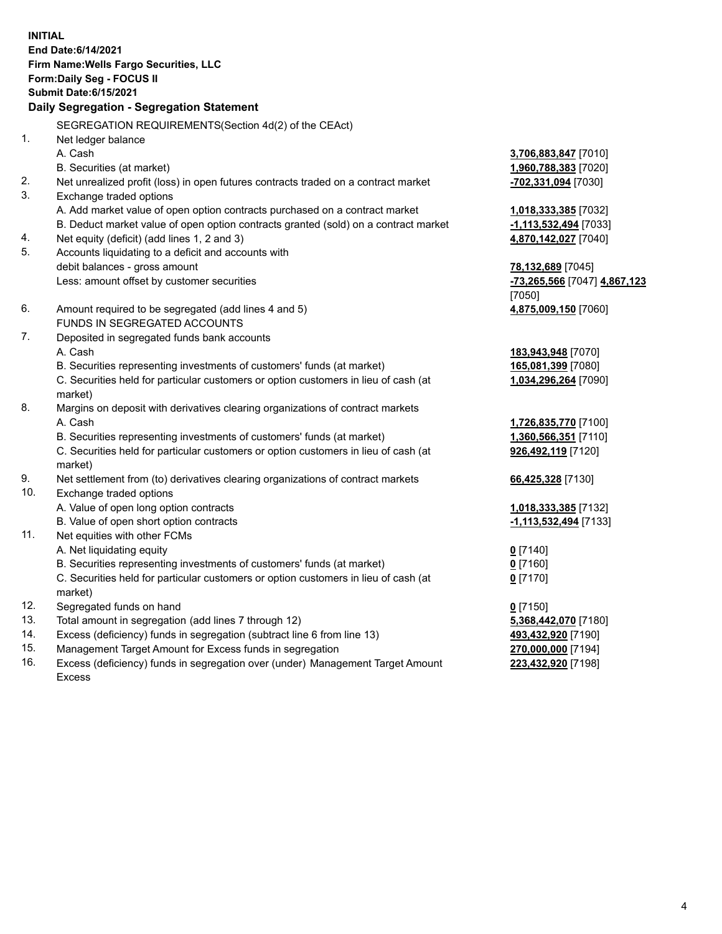**INITIAL End Date:6/14/2021 Firm Name:Wells Fargo Securities, LLC Form:Daily Seg - FOCUS II Submit Date:6/15/2021**

## **Daily Segregation - Segregation Statement**

SEGREGATION REQUIREMENTS(Section 4d(2) of the CEAct)

|     | SEGREGATION REQUIREMENTS(SECION 40(2) OF THE CEACH                                  |                              |
|-----|-------------------------------------------------------------------------------------|------------------------------|
| 1.  | Net ledger balance                                                                  |                              |
|     | A. Cash                                                                             | 3,706,883,847 [7010]         |
|     | B. Securities (at market)                                                           | 1,960,788,383 [7020]         |
| 2.  | Net unrealized profit (loss) in open futures contracts traded on a contract market  | -702,331,094 [7030]          |
| 3.  | Exchange traded options                                                             |                              |
|     | A. Add market value of open option contracts purchased on a contract market         | 1,018,333,385 [7032]         |
|     | B. Deduct market value of open option contracts granted (sold) on a contract market | -1,113,532,494 [7033]        |
| 4.  | Net equity (deficit) (add lines 1, 2 and 3)                                         | 4,870,142,027 [7040]         |
| 5.  | Accounts liquidating to a deficit and accounts with                                 |                              |
|     | debit balances - gross amount                                                       | 78,132,689 [7045]            |
|     | Less: amount offset by customer securities                                          | -73,265,566 [7047] 4,867,123 |
|     |                                                                                     | [7050]                       |
| 6.  | Amount required to be segregated (add lines 4 and 5)                                | 4,875,009,150 [7060]         |
|     | FUNDS IN SEGREGATED ACCOUNTS                                                        |                              |
| 7.  | Deposited in segregated funds bank accounts                                         |                              |
|     | A. Cash                                                                             | 183,943,948 [7070]           |
|     | B. Securities representing investments of customers' funds (at market)              | 165,081,399 [7080]           |
|     | C. Securities held for particular customers or option customers in lieu of cash (at | 1,034,296,264 [7090]         |
|     | market)                                                                             |                              |
| 8.  | Margins on deposit with derivatives clearing organizations of contract markets      |                              |
|     | A. Cash                                                                             | 1,726,835,770 [7100]         |
|     | B. Securities representing investments of customers' funds (at market)              | 1,360,566,351 [7110]         |
|     | C. Securities held for particular customers or option customers in lieu of cash (at | 926,492,119 [7120]           |
|     | market)                                                                             |                              |
| 9.  | Net settlement from (to) derivatives clearing organizations of contract markets     | 66,425,328 [7130]            |
| 10. | Exchange traded options                                                             |                              |
|     | A. Value of open long option contracts                                              | 1,018,333,385 [7132]         |
|     | B. Value of open short option contracts                                             | -1,113,532,494 [7133]        |
| 11. | Net equities with other FCMs                                                        |                              |
|     | A. Net liquidating equity                                                           | $0$ [7140]                   |
|     | B. Securities representing investments of customers' funds (at market)              | $0$ [7160]                   |
|     | C. Securities held for particular customers or option customers in lieu of cash (at | $0$ [7170]                   |
|     | market)                                                                             |                              |
| 12. | Segregated funds on hand                                                            | $0$ [7150]                   |
| 13. | Total amount in segregation (add lines 7 through 12)                                | 5,368,442,070 [7180]         |
| 14. | Excess (deficiency) funds in segregation (subtract line 6 from line 13)             | 493,432,920 [7190]           |
| 15. | Management Target Amount for Excess funds in segregation                            | 270,000,000 [7194]           |
| 16. | Excess (deficiency) funds in segregation over (under) Management Target Amount      | 223,432,920 [7198]           |
|     | Excess                                                                              |                              |